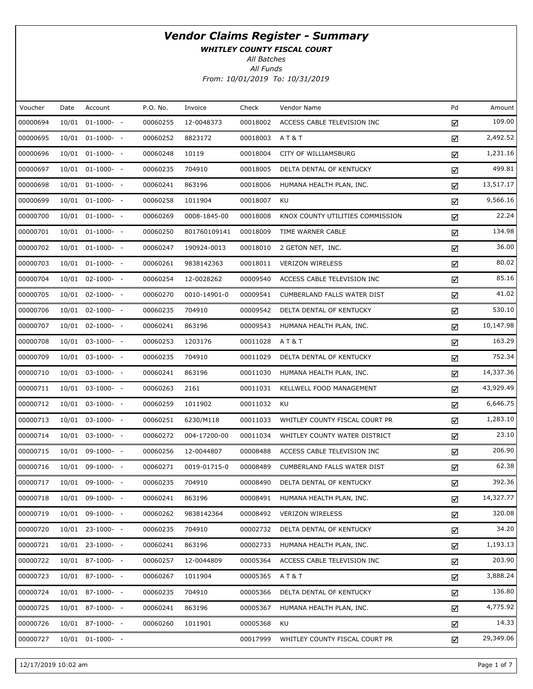WHITLEY COUNTY FISCAL COURT

All Batches

| Voucher  | Date | Account              | P.O. No. | Invoice      | Check    | Vendor Name                      | Pd | Amount    |
|----------|------|----------------------|----------|--------------|----------|----------------------------------|----|-----------|
| 00000694 |      | $10/01$ 01-1000- -   | 00060255 | 12-0048373   | 00018002 | ACCESS CABLE TELEVISION INC      | ☑  | 109.00    |
| 00000695 |      | $10/01$ 01-1000- -   | 00060252 | 8823172      | 00018003 | <b>AT&amp;T</b>                  | ☑  | 2,492.52  |
| 00000696 |      | $10/01$ 01-1000- -   | 00060248 | 10119        | 00018004 | CITY OF WILLIAMSBURG             | ☑  | 1,231.16  |
| 00000697 |      | $10/01$ 01-1000- -   | 00060235 | 704910       | 00018005 | DELTA DENTAL OF KENTUCKY         | ☑  | 499.81    |
| 00000698 |      | $10/01$ $01-1000-$ - | 00060241 | 863196       | 00018006 | HUMANA HEALTH PLAN, INC.         | ☑  | 13,517.17 |
| 00000699 |      | $10/01$ 01-1000- -   | 00060258 | 1011904      | 00018007 | KU                               | ☑  | 9,566.16  |
| 00000700 |      | $10/01$ $01-1000-$ - | 00060269 | 0008-1845-00 | 00018008 | KNOX COUNTY UTILITIES COMMISSION | ☑  | 22.24     |
| 00000701 |      | $10/01$ 01-1000- -   | 00060250 | 801760109141 | 00018009 | TIME WARNER CABLE                | ☑  | 134.98    |
| 00000702 |      | $10/01$ $01-1000-$ - | 00060247 | 190924-0013  | 00018010 | 2 GETON NET, INC.                | ☑  | 36.00     |
| 00000703 |      | $10/01$ 01-1000- -   | 00060261 | 9838142363   | 00018011 | <b>VERIZON WIRELESS</b>          | ☑  | 80.02     |
| 00000704 |      | $10/01$ 02-1000- -   | 00060254 | 12-0028262   | 00009540 | ACCESS CABLE TELEVISION INC      | ☑  | 85.16     |
| 00000705 |      | $10/01$ 02-1000- -   | 00060270 | 0010-14901-0 | 00009541 | CUMBERLAND FALLS WATER DIST      | ☑  | 41.02     |
| 00000706 |      | $10/01$ 02-1000- -   | 00060235 | 704910       | 00009542 | DELTA DENTAL OF KENTUCKY         | ☑  | 530.10    |
| 00000707 |      | $10/01$ 02-1000- -   | 00060241 | 863196       | 00009543 | HUMANA HEALTH PLAN, INC.         | ☑  | 10,147.98 |
| 00000708 |      | $10/01$ 03-1000- -   | 00060253 | 1203176      | 00011028 | <b>AT&amp;T</b>                  | ☑  | 163.29    |
| 00000709 |      | $10/01$ 03-1000- -   | 00060235 | 704910       | 00011029 | DELTA DENTAL OF KENTUCKY         | ☑  | 752.34    |
| 00000710 |      | $10/01$ 03-1000- -   | 00060241 | 863196       | 00011030 | HUMANA HEALTH PLAN, INC.         | ☑  | 14,337.36 |
| 00000711 |      | $10/01$ 03-1000- -   | 00060263 | 2161         | 00011031 | KELLWELL FOOD MANAGEMENT         | ☑  | 43,929.49 |
| 00000712 |      | $10/01$ 03-1000- -   | 00060259 | 1011902      | 00011032 | KU                               | ☑  | 6,646.75  |
| 00000713 |      | $10/01$ 03-1000- -   | 00060251 | 6230/M118    | 00011033 | WHITLEY COUNTY FISCAL COURT PR   | ☑  | 1,283.10  |
| 00000714 |      | $10/01$ 03-1000- -   | 00060272 | 004-17200-00 | 00011034 | WHITLEY COUNTY WATER DISTRICT    | ☑  | 23.10     |
| 00000715 |      | $10/01$ 09-1000- -   | 00060256 | 12-0044807   | 00008488 | ACCESS CABLE TELEVISION INC      | ☑  | 206.90    |
| 00000716 |      | 10/01 09-1000- -     | 00060271 | 0019-01715-0 | 00008489 | CUMBERLAND FALLS WATER DIST      | ☑  | 62.38     |
| 00000717 |      | 10/01 09-1000- -     | 00060235 | 704910       | 00008490 | DELTA DENTAL OF KENTUCKY         | ☑  | 392.36    |
| 00000718 |      | 10/01 09-1000- -     | 00060241 | 863196       | 00008491 | HUMANA HEALTH PLAN, INC.         | ☑  | 14,327.77 |
| 00000719 |      | $10/01$ 09-1000- -   | 00060262 | 9838142364   | 00008492 | <b>VERIZON WIRELESS</b>          | ☑  | 320.08    |
| 00000720 |      | $10/01$ 23-1000- -   | 00060235 | 704910       | 00002732 | DELTA DENTAL OF KENTUCKY         | ☑  | 34.20     |
| 00000721 |      | $10/01$ 23-1000- -   | 00060241 | 863196       | 00002733 | HUMANA HEALTH PLAN, INC.         | ☑  | 1,193.13  |
| 00000722 |      | $10/01$ 87-1000- -   | 00060257 | 12-0044809   | 00005364 | ACCESS CABLE TELEVISION INC      | ☑  | 203.90    |
| 00000723 |      | $10/01$ 87-1000- -   | 00060267 | 1011904      | 00005365 | AT&T                             | ☑  | 3,888.24  |
| 00000724 |      | $10/01$ 87-1000- -   | 00060235 | 704910       | 00005366 | DELTA DENTAL OF KENTUCKY         | ☑  | 136.80    |
| 00000725 |      | $10/01$ 87-1000- -   | 00060241 | 863196       | 00005367 | HUMANA HEALTH PLAN, INC.         | ☑  | 4,775.92  |
| 00000726 |      | $10/01$ 87-1000- -   | 00060260 | 1011901      | 00005368 | KU                               | ☑  | 14.33     |
| 00000727 |      | $10/01$ 01-1000- -   |          |              | 00017999 | WHITLEY COUNTY FISCAL COURT PR   | ☑  | 29,349.06 |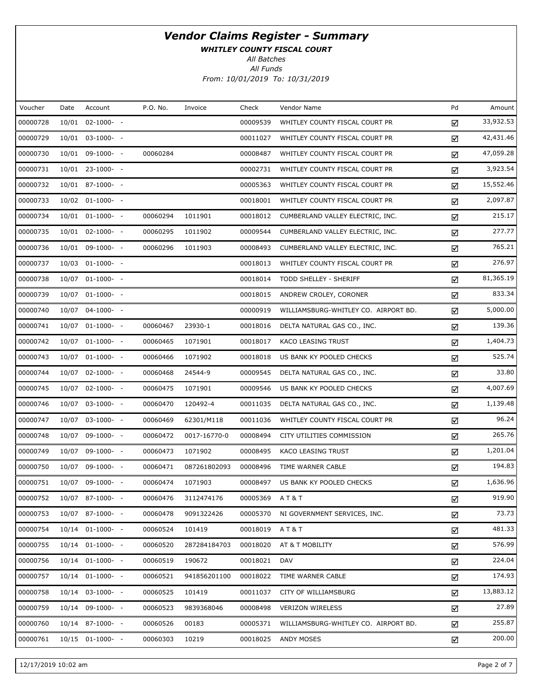WHITLEY COUNTY FISCAL COURT

All Batches

| Voucher  | Date  | Account            | P.O. No. | Invoice      | Check    | Vendor Name                          | Pd | Amount    |
|----------|-------|--------------------|----------|--------------|----------|--------------------------------------|----|-----------|
| 00000728 | 10/01 | $02 - 1000 - -$    |          |              | 00009539 | WHITLEY COUNTY FISCAL COURT PR       | ☑  | 33,932.53 |
| 00000729 |       | 10/01 03-1000- -   |          |              | 00011027 | WHITLEY COUNTY FISCAL COURT PR       | ☑  | 42,431.46 |
| 00000730 |       | $10/01$ 09-1000- - | 00060284 |              | 00008487 | WHITLEY COUNTY FISCAL COURT PR       | ☑  | 47,059.28 |
| 00000731 |       | 10/01 23-1000- -   |          |              | 00002731 | WHITLEY COUNTY FISCAL COURT PR       | ☑  | 3,923.54  |
| 00000732 |       | 10/01 87-1000- -   |          |              | 00005363 | WHITLEY COUNTY FISCAL COURT PR       | ☑  | 15,552.46 |
| 00000733 |       | 10/02 01-1000- -   |          |              | 00018001 | WHITLEY COUNTY FISCAL COURT PR       | ☑  | 2,097.87  |
| 00000734 |       | $10/01$ 01-1000- - | 00060294 | 1011901      | 00018012 | CUMBERLAND VALLEY ELECTRIC, INC.     | ☑  | 215.17    |
| 00000735 |       | 10/01 02-1000- -   | 00060295 | 1011902      | 00009544 | CUMBERLAND VALLEY ELECTRIC, INC.     | ☑  | 277.77    |
| 00000736 |       | 10/01 09-1000- -   | 00060296 | 1011903      | 00008493 | CUMBERLAND VALLEY ELECTRIC, INC.     | ☑  | 765.21    |
| 00000737 |       | 10/03 01-1000- -   |          |              | 00018013 | WHITLEY COUNTY FISCAL COURT PR       | ☑  | 276.97    |
| 00000738 | 10/07 | $01-1000-$         |          |              | 00018014 | TODD SHELLEY - SHERIFF               | ☑  | 81,365.19 |
| 00000739 |       | 10/07 01-1000- -   |          |              | 00018015 | ANDREW CROLEY, CORONER               | ☑  | 833.34    |
| 00000740 |       | 10/07 04-1000- -   |          |              | 00000919 | WILLIAMSBURG-WHITLEY CO. AIRPORT BD. | ☑  | 5,000.00  |
| 00000741 |       | 10/07 01-1000- -   | 00060467 | 23930-1      | 00018016 | DELTA NATURAL GAS CO., INC.          | ☑  | 139.36    |
| 00000742 |       | 10/07 01-1000- -   | 00060465 | 1071901      | 00018017 | KACO LEASING TRUST                   | ☑  | 1,404.73  |
| 00000743 |       | 10/07 01-1000- -   | 00060466 | 1071902      | 00018018 | US BANK KY POOLED CHECKS             | ☑  | 525.74    |
| 00000744 |       | 10/07 02-1000- -   | 00060468 | 24544-9      | 00009545 | DELTA NATURAL GAS CO., INC.          | ☑  | 33.80     |
| 00000745 |       | 10/07 02-1000- -   | 00060475 | 1071901      | 00009546 | US BANK KY POOLED CHECKS             | ☑  | 4,007.69  |
| 00000746 | 10/07 | $03-1000- -$       | 00060470 | 120492-4     | 00011035 | DELTA NATURAL GAS CO., INC.          | ☑  | 1,139.48  |
| 00000747 |       | 10/07 03-1000- -   | 00060469 | 62301/M118   | 00011036 | WHITLEY COUNTY FISCAL COURT PR       | ☑  | 96.24     |
| 00000748 | 10/07 | 09-1000- -         | 00060472 | 0017-16770-0 | 00008494 | CITY UTILITIES COMMISSION            | ☑  | 265.76    |
| 00000749 |       | 10/07 09-1000- -   | 00060473 | 1071902      | 00008495 | KACO LEASING TRUST                   | ☑  | 1,201.04  |
| 00000750 | 10/07 | 09-1000- -         | 00060471 | 087261802093 | 00008496 | TIME WARNER CABLE                    | ☑  | 194.83    |
| 00000751 |       | 10/07 09-1000- -   | 00060474 | 1071903      | 00008497 | US BANK KY POOLED CHECKS             | ☑  | 1,636.96  |
| 00000752 |       | 10/07 87-1000- -   | 00060476 | 3112474176   | 00005369 | AT&T                                 | ☑  | 919.90    |
| 00000753 |       | 10/07 87-1000- -   | 00060478 | 9091322426   | 00005370 | NI GOVERNMENT SERVICES, INC.         | ☑  | 73.73     |
| 00000754 |       | 10/14 01-1000- -   | 00060524 | 101419       | 00018019 | AT&T                                 | ☑  | 481.33    |
| 00000755 | 10/14 | $01-1000-$         | 00060520 | 287284184703 | 00018020 | AT & T MOBILITY                      | ☑  | 576.99    |
| 00000756 |       | 10/14 01-1000- -   | 00060519 | 190672       | 00018021 | <b>DAV</b>                           | ☑  | 224.04    |
| 00000757 | 10/14 | $01-1000-$         | 00060521 | 941856201100 | 00018022 | TIME WARNER CABLE                    | ☑  | 174.93    |
| 00000758 | 10/14 | $03-1000- -$       | 00060525 | 101419       | 00011037 | CITY OF WILLIAMSBURG                 | ☑  | 13,883.12 |
| 00000759 | 10/14 | 09-1000- -         | 00060523 | 9839368046   | 00008498 | <b>VERIZON WIRELESS</b>              | ☑  | 27.89     |
| 00000760 |       | 10/14 87-1000- -   | 00060526 | 00183        | 00005371 | WILLIAMSBURG-WHITLEY CO. AIRPORT BD. | ☑  | 255.87    |
| 00000761 |       | 10/15 01-1000- -   | 00060303 | 10219        | 00018025 | ANDY MOSES                           | ☑  | 200.00    |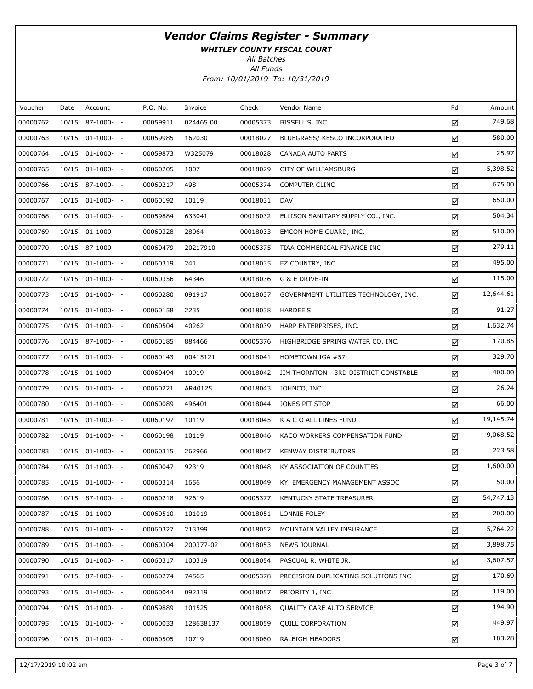WHITLEY COUNTY FISCAL COURT

All Batches

| Voucher  | Date | Account            | P.O. No. | Invoice   | Check    | Vendor Name                           | Pd | Amount    |
|----------|------|--------------------|----------|-----------|----------|---------------------------------------|----|-----------|
| 00000762 |      | 10/15 87-1000- -   | 00059911 | 024465.00 | 00005373 | BISSELL'S, INC.                       | ☑  | 749.68    |
| 00000763 |      | $10/15$ 01-1000- - | 00059985 | 162030    | 00018027 | BLUEGRASS/ KESCO INCORPORATED         | ☑  | 580.00    |
| 00000764 |      | $10/15$ 01-1000- - | 00059873 | W325079   | 00018028 | CANADA AUTO PARTS                     | ☑  | 25.97     |
| 00000765 |      | $10/15$ 01-1000- - | 00060205 | 1007      | 00018029 | CITY OF WILLIAMSBURG                  | ☑  | 5,398.52  |
| 00000766 |      | $10/15$ 87-1000- - | 00060217 | 498       | 00005374 | <b>COMPUTER CLINC</b>                 | ☑  | 675.00    |
| 00000767 |      | $10/15$ 01-1000- - | 00060192 | 10119     | 00018031 | DAV                                   | ☑  | 650.00    |
| 00000768 |      | $10/15$ 01-1000- - | 00059884 | 633041    | 00018032 | ELLISON SANITARY SUPPLY CO., INC.     | ☑  | 504.34    |
| 00000769 |      | $10/15$ 01-1000- - | 00060328 | 28064     | 00018033 | EMCON HOME GUARD, INC.                | ☑  | 510.00    |
| 00000770 |      | $10/15$ 87-1000- - | 00060479 | 20217910  | 00005375 | TIAA COMMERICAL FINANCE INC           | ☑  | 279.11    |
| 00000771 |      | $10/15$ 01-1000- - | 00060319 | 241       | 00018035 | EZ COUNTRY, INC.                      | ☑  | 495.00    |
| 00000772 |      | 10/15 01-1000- -   | 00060356 | 64346     | 00018036 | G & E DRIVE-IN                        | ☑  | 115.00    |
| 00000773 |      | $10/15$ 01-1000- - | 00060280 | 091917    | 00018037 | GOVERNMENT UTILITIES TECHNOLOGY, INC. | ☑  | 12,644.61 |
| 00000774 |      | $10/15$ 01-1000- - | 00060158 | 2235      | 00018038 | HARDEE'S                              | ☑  | 91.27     |
| 00000775 |      | 10/15 01-1000- -   | 00060504 | 40262     | 00018039 | HARP ENTERPRISES, INC.                | ☑  | 1,632.74  |
| 00000776 |      | 10/15 87-1000- -   | 00060185 | 884466    | 00005376 | HIGHBRIDGE SPRING WATER CO, INC.      | ☑  | 170.85    |
| 00000777 |      | $10/15$ 01-1000- - | 00060143 | 00415121  | 00018041 | HOMETOWN IGA #57                      | ☑  | 329.70    |
| 00000778 |      | $10/15$ 01-1000- - | 00060494 | 10919     | 00018042 | JIM THORNTON - 3RD DISTRICT CONSTABLE | ☑  | 400.00    |
| 00000779 |      | $10/15$ 01-1000- - | 00060221 | AR40125   | 00018043 | JOHNCO, INC.                          | ☑  | 26.24     |
| 00000780 |      | $10/15$ 01-1000- - | 00060089 | 496401    | 00018044 | JONES PIT STOP                        | ☑  | 66.00     |
| 00000781 |      | $10/15$ 01-1000- - | 00060197 | 10119     | 00018045 | K A C O ALL LINES FUND                | ☑  | 19,145.74 |
| 00000782 |      | $10/15$ 01-1000- - | 00060198 | 10119     | 00018046 | KACO WORKERS COMPENSATION FUND        | ☑  | 9,068.52  |
| 00000783 |      | $10/15$ 01-1000- - | 00060315 | 262966    | 00018047 | <b>KENWAY DISTRIBUTORS</b>            | ☑  | 223.58    |
| 00000784 |      | $10/15$ 01-1000- - | 00060047 | 92319     | 00018048 | KY ASSOCIATION OF COUNTIES            | ☑  | 1,600.00  |
| 00000785 |      | 10/15 01-1000- -   | 00060314 | 1656      | 00018049 | KY. EMERGENCY MANAGEMENT ASSOC        | ☑  | 50.00     |
| 00000786 |      | 10/15 87-1000- -   | 00060218 | 92619     | 00005377 | KENTUCKY STATE TREASURER              | ☑  | 54,747.13 |
| 00000787 |      | $10/15$ 01-1000- - | 00060510 | 101019    | 00018051 | LONNIE FOLEY                          | ☑  | 200.00    |
| 00000788 |      | $10/15$ 01-1000- - | 00060327 | 213399    | 00018052 | MOUNTAIN VALLEY INSURANCE             | ☑  | 5,764.22  |
| 00000789 |      | $10/15$ 01-1000- - | 00060304 | 200377-02 | 00018053 | <b>NEWS JOURNAL</b>                   | ☑  | 3,898.75  |
| 00000790 |      | $10/15$ 01-1000- - | 00060317 | 100319    | 00018054 | PASCUAL R. WHITE JR.                  | ☑  | 3,607.57  |
| 00000791 |      | 10/15 87-1000- -   | 00060274 | 74565     | 00005378 | PRECISION DUPLICATING SOLUTIONS INC   | ☑  | 170.69    |
| 00000793 |      | 10/15 01-1000- -   | 00060044 | 092319    | 00018057 | PRIORITY 1, INC                       | ☑  | 119.00    |
| 00000794 |      | $10/15$ 01-1000- - | 00059889 | 101525    | 00018058 | QUALITY CARE AUTO SERVICE             | ☑  | 194.90    |
| 00000795 |      | $10/15$ 01-1000- - | 00060033 | 128638137 | 00018059 | <b>QUILL CORPORATION</b>              | ☑  | 449.97    |
| 00000796 |      | $10/15$ 01-1000- - | 00060505 | 10719     | 00018060 | RALEIGH MEADORS                       | ☑  | 183.28    |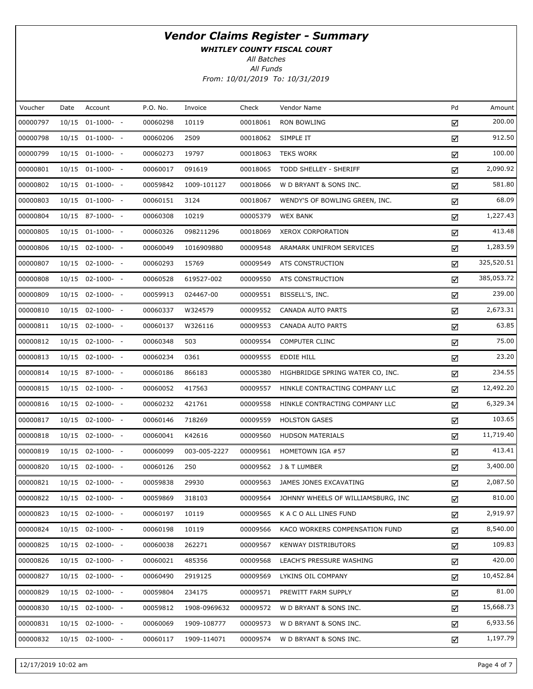WHITLEY COUNTY FISCAL COURT

All Batches

| Voucher  | Date  | Account            | P.O. No. | Invoice      | Check    | Vendor Name                        | Pd | Amount     |
|----------|-------|--------------------|----------|--------------|----------|------------------------------------|----|------------|
| 00000797 | 10/15 | $01-1000-$         | 00060298 | 10119        | 00018061 | RON BOWLING                        | ☑  | 200.00     |
| 00000798 |       | 10/15 01-1000- -   | 00060206 | 2509         | 00018062 | SIMPLE IT                          | ☑  | 912.50     |
| 00000799 |       | 10/15 01-1000- -   | 00060273 | 19797        | 00018063 | <b>TEKS WORK</b>                   | ☑  | 100.00     |
| 00000801 |       | 10/15 01-1000- -   | 00060017 | 091619       | 00018065 | TODD SHELLEY - SHERIFF             | ☑  | 2,090.92   |
| 00000802 |       | 10/15 01-1000- -   | 00059842 | 1009-101127  | 00018066 | W D BRYANT & SONS INC.             | ☑  | 581.80     |
| 00000803 |       | 10/15 01-1000- -   | 00060151 | 3124         | 00018067 | WENDY'S OF BOWLING GREEN, INC.     | ☑  | 68.09      |
| 00000804 |       | 10/15 87-1000- -   | 00060308 | 10219        | 00005379 | <b>WEX BANK</b>                    | ☑  | 1,227.43   |
| 00000805 |       | $10/15$ 01-1000- - | 00060326 | 098211296    | 00018069 | <b>XEROX CORPORATION</b>           | ☑  | 413.48     |
| 00000806 |       | 10/15 02-1000- -   | 00060049 | 1016909880   | 00009548 | ARAMARK UNIFROM SERVICES           | ☑  | 1,283.59   |
| 00000807 |       | 10/15 02-1000- -   | 00060293 | 15769        | 00009549 | ATS CONSTRUCTION                   | ☑  | 325,520.51 |
| 00000808 |       | 10/15 02-1000- -   | 00060528 | 619527-002   | 00009550 | ATS CONSTRUCTION                   | ☑  | 385,053.72 |
| 00000809 |       | $10/15$ 02-1000- - | 00059913 | 024467-00    | 00009551 | BISSELL'S, INC.                    | ☑  | 239.00     |
| 00000810 |       | 10/15 02-1000- -   | 00060337 | W324579      | 00009552 | CANADA AUTO PARTS                  | ☑  | 2,673.31   |
| 00000811 |       | 10/15 02-1000- -   | 00060137 | W326116      | 00009553 | CANADA AUTO PARTS                  | ☑  | 63.85      |
| 00000812 |       | 10/15 02-1000- -   | 00060348 | 503          | 00009554 | COMPUTER CLINC                     | ☑  | 75.00      |
| 00000813 |       | 10/15 02-1000- -   | 00060234 | 0361         | 00009555 | <b>EDDIE HILL</b>                  | ☑  | 23.20      |
| 00000814 |       | 10/15 87-1000- -   | 00060186 | 866183       | 00005380 | HIGHBRIDGE SPRING WATER CO, INC.   | ☑  | 234.55     |
| 00000815 |       | 10/15 02-1000- -   | 00060052 | 417563       | 00009557 | HINKLE CONTRACTING COMPANY LLC     | ☑  | 12,492.20  |
| 00000816 |       | 10/15 02-1000- -   | 00060232 | 421761       | 00009558 | HINKLE CONTRACTING COMPANY LLC     | ☑  | 6,329.34   |
| 00000817 |       | 10/15 02-1000- -   | 00060146 | 718269       | 00009559 | <b>HOLSTON GASES</b>               | ☑  | 103.65     |
| 00000818 |       | 10/15 02-1000- -   | 00060041 | K42616       | 00009560 | <b>HUDSON MATERIALS</b>            | ☑  | 11,719.40  |
| 00000819 |       | 10/15 02-1000- -   | 00060099 | 003-005-2227 | 00009561 | HOMETOWN IGA #57                   | ☑  | 413.41     |
| 00000820 |       | $10/15$ 02-1000- - | 00060126 | 250          | 00009562 | J & T LUMBER                       | ☑  | 3,400.00   |
| 00000821 |       | 10/15 02-1000- -   | 00059838 | 29930        | 00009563 | JAMES JONES EXCAVATING             | ☑  | 2,087.50   |
| 00000822 |       | $10/15$ 02-1000- - | 00059869 | 318103       | 00009564 | JOHNNY WHEELS OF WILLIAMSBURG, INC | ☑  | 810.00     |
| 00000823 |       | $10/15$ 02-1000- - | 00060197 | 10119        | 00009565 | K A C O ALL LINES FUND             | ☑  | 2,919.97   |
| 00000824 |       | $10/15$ 02-1000- - | 00060198 | 10119        | 00009566 | KACO WORKERS COMPENSATION FUND     | ☑  | 8,540.00   |
| 00000825 |       | $10/15$ 02-1000- - | 00060038 | 262271       | 00009567 | <b>KENWAY DISTRIBUTORS</b>         | ☑  | 109.83     |
| 00000826 |       | $10/15$ 02-1000- - | 00060021 | 485356       | 00009568 | LEACH'S PRESSURE WASHING           | ☑  | 420.00     |
| 00000827 |       | $10/15$ 02-1000- - | 00060490 | 2919125      | 00009569 | LYKINS OIL COMPANY                 | ☑  | 10,452.84  |
| 00000829 |       | $10/15$ 02-1000- - | 00059804 | 234175       | 00009571 | PREWITT FARM SUPPLY                | ☑  | 81.00      |
| 00000830 |       | $10/15$ 02-1000- - | 00059812 | 1908-0969632 | 00009572 | W D BRYANT & SONS INC.             | ☑  | 15,668.73  |
| 00000831 |       | $10/15$ 02-1000- - | 00060069 | 1909-108777  | 00009573 | W D BRYANT & SONS INC.             | ☑  | 6,933.56   |
| 00000832 |       | 10/15 02-1000- -   | 00060117 | 1909-114071  | 00009574 | W D BRYANT & SONS INC.             | ☑  | 1,197.79   |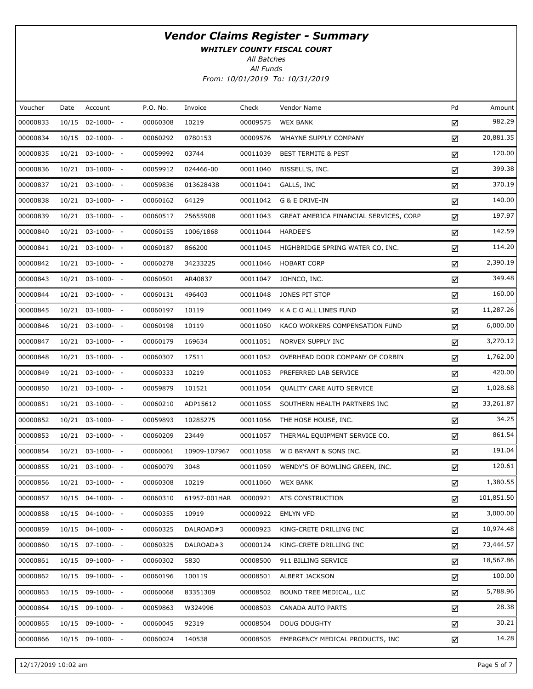WHITLEY COUNTY FISCAL COURT

All Batches

| Voucher  | Date | Account            | P.O. No. | Invoice      | Check    | Vendor Name                            | Pd | Amount     |
|----------|------|--------------------|----------|--------------|----------|----------------------------------------|----|------------|
| 00000833 |      | 10/15 02-1000- -   | 00060308 | 10219        | 00009575 | <b>WEX BANK</b>                        | ☑  | 982.29     |
| 00000834 |      | $10/15$ 02-1000- - | 00060292 | 0780153      | 00009576 | WHAYNE SUPPLY COMPANY                  | ☑  | 20,881.35  |
| 00000835 |      | 10/21 03-1000- -   | 00059992 | 03744        | 00011039 | <b>BEST TERMITE &amp; PEST</b>         | ☑  | 120.00     |
| 00000836 |      | $10/21$ 03-1000- - | 00059912 | 024466-00    | 00011040 | BISSELL'S, INC.                        | ☑  | 399.38     |
| 00000837 |      | $10/21$ 03-1000- - | 00059836 | 013628438    | 00011041 | GALLS, INC                             | ☑  | 370.19     |
| 00000838 |      | $10/21$ 03-1000- - | 00060162 | 64129        | 00011042 | G & E DRIVE-IN                         | ☑  | 140.00     |
| 00000839 |      | $10/21$ 03-1000- - | 00060517 | 25655908     | 00011043 | GREAT AMERICA FINANCIAL SERVICES, CORP | ☑  | 197.97     |
| 00000840 |      | $10/21$ 03-1000- - | 00060155 | 1006/1868    | 00011044 | <b>HARDEE'S</b>                        | ☑  | 142.59     |
| 00000841 |      | $10/21$ 03-1000- - | 00060187 | 866200       | 00011045 | HIGHBRIDGE SPRING WATER CO, INC.       | ☑  | 114.20     |
| 00000842 |      | $10/21$ 03-1000- - | 00060278 | 34233225     | 00011046 | <b>HOBART CORP</b>                     | ☑  | 2,390.19   |
| 00000843 |      | $10/21$ 03-1000- - | 00060501 | AR40837      | 00011047 | JOHNCO, INC.                           | ☑  | 349.48     |
| 00000844 |      | 10/21 03-1000- -   | 00060131 | 496403       | 00011048 | JONES PIT STOP                         | ☑  | 160.00     |
| 00000845 |      | $10/21$ 03-1000- - | 00060197 | 10119        | 00011049 | K A C O ALL LINES FUND                 | ☑  | 11,287.26  |
| 00000846 |      | $10/21$ 03-1000- - | 00060198 | 10119        | 00011050 | KACO WORKERS COMPENSATION FUND         | ☑  | 6,000.00   |
| 00000847 |      | $10/21$ 03-1000- - | 00060179 | 169634       | 00011051 | NORVEX SUPPLY INC                      | ☑  | 3,270.12   |
| 00000848 |      | $10/21$ 03-1000- - | 00060307 | 17511        | 00011052 | OVERHEAD DOOR COMPANY OF CORBIN        | ☑  | 1,762.00   |
| 00000849 |      | $10/21$ 03-1000- - | 00060333 | 10219        | 00011053 | PREFERRED LAB SERVICE                  | ☑  | 420.00     |
| 00000850 |      | $10/21$ 03-1000- - | 00059879 | 101521       | 00011054 | QUALITY CARE AUTO SERVICE              | ☑  | 1,028.68   |
| 00000851 |      | $10/21$ 03-1000- - | 00060210 | ADP15612     | 00011055 | SOUTHERN HEALTH PARTNERS INC           | ☑  | 33,261.87  |
| 00000852 |      | $10/21$ 03-1000- - | 00059893 | 10285275     | 00011056 | THE HOSE HOUSE, INC.                   | ☑  | 34.25      |
| 00000853 |      | $10/21$ 03-1000- - | 00060209 | 23449        | 00011057 | THERMAL EQUIPMENT SERVICE CO.          | ☑  | 861.54     |
| 00000854 |      | 10/21 03-1000- -   | 00060061 | 10909-107967 | 00011058 | W D BRYANT & SONS INC.                 | ☑  | 191.04     |
| 00000855 |      | $10/21$ 03-1000- - | 00060079 | 3048         | 00011059 | WENDY'S OF BOWLING GREEN, INC.         | ☑  | 120.61     |
| 00000856 |      | 10/21 03-1000- -   | 00060308 | 10219        | 00011060 | <b>WEX BANK</b>                        | ☑  | 1,380.55   |
| 00000857 |      | 10/15 04-1000- -   | 00060310 | 61957-001HAR | 00000921 | ATS CONSTRUCTION                       | ☑  | 101,851.50 |
| 00000858 |      | 10/15 04-1000- -   | 00060355 | 10919        | 00000922 | <b>EMLYN VFD</b>                       | ☑  | 3,000.00   |
| 00000859 |      | $10/15$ 04-1000- - | 00060325 | DALROAD#3    | 00000923 | KING-CRETE DRILLING INC                | ☑  | 10,974.48  |
| 00000860 |      | 10/15 07-1000- -   | 00060325 | DALROAD#3    | 00000124 | KING-CRETE DRILLING INC                | ☑  | 73,444.57  |
| 00000861 |      | $10/15$ 09-1000- - | 00060302 | 5830         | 00008500 | 911 BILLING SERVICE                    | ☑  | 18,567.86  |
| 00000862 |      | $10/15$ 09-1000- - | 00060196 | 100119       | 00008501 | ALBERT JACKSON                         | ☑  | 100.00     |
| 00000863 |      | $10/15$ 09-1000- - | 00060068 | 83351309     | 00008502 | BOUND TREE MEDICAL, LLC                | ☑  | 5,788.96   |
| 00000864 |      | $10/15$ 09-1000- - | 00059863 | W324996      | 00008503 | CANADA AUTO PARTS                      | ☑  | 28.38      |
| 00000865 |      | $10/15$ 09-1000- - | 00060045 | 92319        | 00008504 | <b>DOUG DOUGHTY</b>                    | ☑  | 30.21      |
| 00000866 |      | $10/15$ 09-1000- - | 00060024 | 140538       | 00008505 | EMERGENCY MEDICAL PRODUCTS, INC.       | ☑  | 14.28      |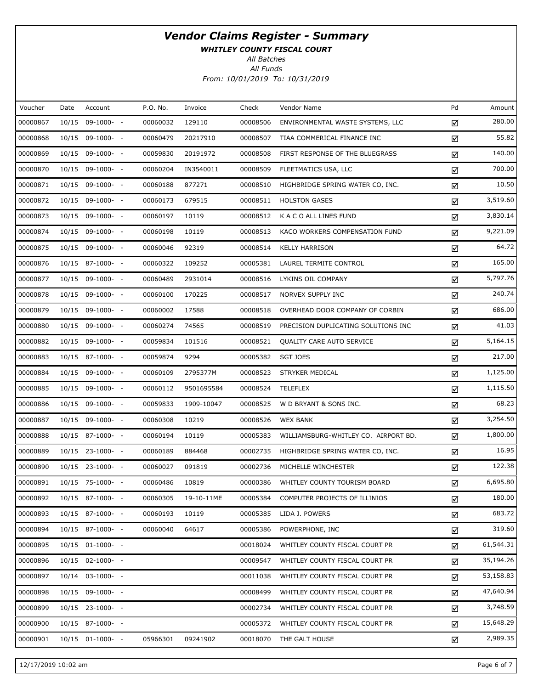WHITLEY COUNTY FISCAL COURT

All Funds All Batches

From: 10/01/2019 To: 10/31/2019

| Voucher  | Date  | Account            | P.O. No. | Invoice    | Check    | Vendor Name                          | Pd | Amount    |
|----------|-------|--------------------|----------|------------|----------|--------------------------------------|----|-----------|
| 00000867 | 10/15 | 09-1000- -         | 00060032 | 129110     | 00008506 | ENVIRONMENTAL WASTE SYSTEMS, LLC     | ☑  | 280.00    |
| 00000868 |       | 10/15 09-1000- -   | 00060479 | 20217910   | 00008507 | TIAA COMMERICAL FINANCE INC          | ☑  | 55.82     |
| 00000869 |       | 10/15 09-1000- -   | 00059830 | 20191972   | 00008508 | FIRST RESPONSE OF THE BLUEGRASS      | ☑  | 140.00    |
| 00000870 |       | 10/15 09-1000- -   | 00060204 | IN3540011  | 00008509 | FLEETMATICS USA, LLC                 | ☑  | 700.00    |
| 00000871 |       | 10/15 09-1000- -   | 00060188 | 877271     | 00008510 | HIGHBRIDGE SPRING WATER CO, INC.     | ☑  | 10.50     |
| 00000872 |       | 10/15 09-1000- -   | 00060173 | 679515     | 00008511 | <b>HOLSTON GASES</b>                 | ☑  | 3,519.60  |
| 00000873 |       | 10/15 09-1000- -   | 00060197 | 10119      | 00008512 | K A C O ALL LINES FUND               | ☑  | 3,830.14  |
| 00000874 |       | 10/15 09-1000- -   | 00060198 | 10119      | 00008513 | KACO WORKERS COMPENSATION FUND       | ☑  | 9,221.09  |
| 00000875 |       | 10/15 09-1000- -   | 00060046 | 92319      | 00008514 | <b>KELLY HARRISON</b>                | ☑  | 64.72     |
| 00000876 |       | 10/15 87-1000- -   | 00060322 | 109252     | 00005381 | LAUREL TERMITE CONTROL               | ☑  | 165.00    |
| 00000877 |       | 10/15 09-1000- -   | 00060489 | 2931014    | 00008516 | LYKINS OIL COMPANY                   | ☑  | 5,797.76  |
| 00000878 |       | 10/15 09-1000- -   | 00060100 | 170225     | 00008517 | NORVEX SUPPLY INC                    | ☑  | 240.74    |
| 00000879 |       | 10/15 09-1000- -   | 00060002 | 17588      | 00008518 | OVERHEAD DOOR COMPANY OF CORBIN      | ☑  | 686.00    |
| 00000880 |       | 10/15 09-1000- -   | 00060274 | 74565      | 00008519 | PRECISION DUPLICATING SOLUTIONS INC  | ☑  | 41.03     |
| 00000882 |       | 10/15 09-1000- -   | 00059834 | 101516     | 00008521 | QUALITY CARE AUTO SERVICE            | ☑  | 5,164.15  |
| 00000883 |       | 10/15 87-1000- -   | 00059874 | 9294       | 00005382 | <b>SGT JOES</b>                      | ☑  | 217.00    |
| 00000884 |       | 10/15 09-1000- -   | 00060109 | 2795377M   | 00008523 | STRYKER MEDICAL                      | ☑  | 1,125.00  |
| 00000885 |       | 10/15 09-1000- -   | 00060112 | 9501695584 | 00008524 | <b>TELEFLEX</b>                      | ☑  | 1,115.50  |
| 00000886 |       | 10/15 09-1000- -   | 00059833 | 1909-10047 | 00008525 | W D BRYANT & SONS INC.               | ☑  | 68.23     |
| 00000887 |       | 10/15 09-1000- -   | 00060308 | 10219      | 00008526 | <b>WEX BANK</b>                      | ☑  | 3,254.50  |
| 00000888 |       | 10/15 87-1000- -   | 00060194 | 10119      | 00005383 | WILLIAMSBURG-WHITLEY CO. AIRPORT BD. | ☑  | 1,800.00  |
| 00000889 |       | 10/15 23-1000- -   | 00060189 | 884468     | 00002735 | HIGHBRIDGE SPRING WATER CO, INC.     | ☑  | 16.95     |
| 00000890 |       | 10/15 23-1000- -   | 00060027 | 091819     | 00002736 | MICHELLE WINCHESTER                  | ☑  | 122.38    |
| 00000891 |       | 10/15 75-1000- -   | 00060486 | 10819      | 00000386 | WHITLEY COUNTY TOURISM BOARD         | ☑  | 6,695.80  |
| 00000892 |       | 10/15 87-1000- -   | 00060305 | 19-10-11ME | 00005384 | COMPUTER PROJECTS OF ILLINIOS        | ☑  | 180.00    |
| 00000893 |       | 10/15 87-1000- -   | 00060193 | 10119      | 00005385 | LIDA J. POWERS                       | ☑  | 683.72    |
| 00000894 |       | 10/15 87-1000- -   | 00060040 | 64617      | 00005386 | POWERPHONE, INC                      | ☑  | 319.60    |
| 00000895 |       | $10/15$ 01-1000- - |          |            | 00018024 | WHITLEY COUNTY FISCAL COURT PR       | ☑  | 61,544.31 |
| 00000896 |       | 10/15 02-1000- -   |          |            | 00009547 | WHITLEY COUNTY FISCAL COURT PR       | ☑  | 35,194.26 |
| 00000897 |       | 10/14 03-1000- -   |          |            | 00011038 | WHITLEY COUNTY FISCAL COURT PR       | ☑  | 53,158.83 |
| 00000898 |       | 10/15 09-1000- -   |          |            | 00008499 | WHITLEY COUNTY FISCAL COURT PR       | ☑  | 47,640.94 |
| 00000899 |       | 10/15 23-1000- -   |          |            | 00002734 | WHITLEY COUNTY FISCAL COURT PR       | ☑  | 3,748.59  |
| 00000900 |       | 10/15 87-1000- -   |          |            | 00005372 | WHITLEY COUNTY FISCAL COURT PR       | ☑  | 15,648.29 |
| 00000901 |       | 10/15 01-1000- -   | 05966301 | 09241902   | 00018070 | THE GALT HOUSE                       | ☑  | 2,989.35  |